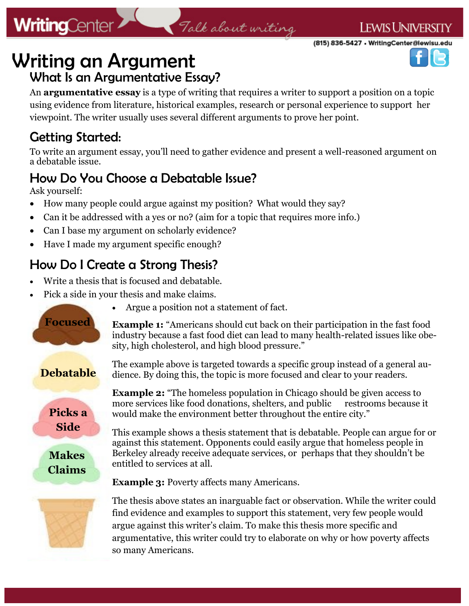#### **LEWIS UNIVERSITY**

(815) 836-5427 • WritingCenter@lewisu.edu



## Writing an Argument What Is an Argumentative Essay?

An **argumentative essay** is a type of writing that requires a writer to support a position on a topic using evidence from literature, historical examples, research or personal experience to support her viewpoint. The writer usually uses several different arguments to prove her point.

Talk about writing

### Getting Started:

**WritingCenter** 

To write an argument essay, you'll need to gather evidence and present a well-reasoned argument on a debatable issue.

### How Do You Choose a Debatable Issue?

Ask yourself:

- How many people could argue against my position? What would they say?
- Can it be addressed with a yes or no? (aim for a topic that requires more info.)
- Can I base my argument on scholarly evidence?
- Have I made my argument specific enough?

### How Do I Create a Strong Thesis?

- Write a thesis that is focused and debatable.
- Pick a side in your thesis and make claims.

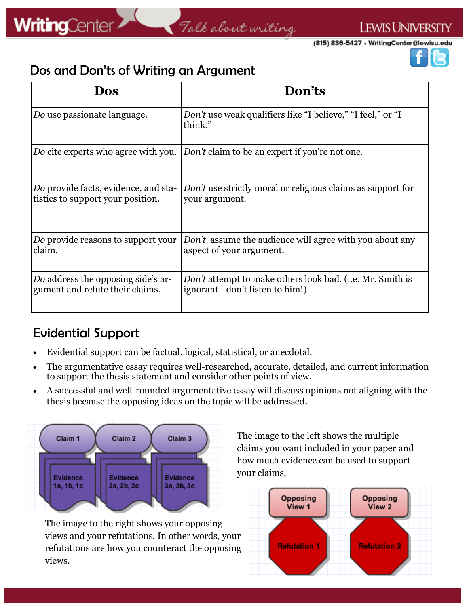(815) 836-5427 • WritingCenter@lewisu.edu



#### Dos and Don'ts of Writing an Argument

| Dos                                  | Don'ts                                                                             |
|--------------------------------------|------------------------------------------------------------------------------------|
| Do use passionate language.          | <i>Don't</i> use weak qualifiers like "I believe," "I feel," or "I<br>think."      |
|                                      | Do cite experts who agree with you. Don't claim to be an expert if you're not one. |
| Do provide facts, evidence, and sta- | Don't use strictly moral or religious claims as support for                        |
| tistics to support your position.    | your argument.                                                                     |
| Do provide reasons to support your   | <i>Don't</i> assume the audience will agree with you about any                     |
| claim.                               | aspect of your argument.                                                           |
| Do address the opposing side's ar-   | <i>Don't</i> attempt to make others look bad. (i.e. Mr. Smith is                   |
| gument and refute their claims.      | ignorant—don't listen to him!)                                                     |

### Evidential Support

- Evidential support can be factual, logical, statistical, or anecdotal.
- The argumentative essay requires well-researched, accurate, detailed, and current information to support the thesis statement and consider other points of view.
- A successful and well-rounded argumentative essay will discuss opinions not aligning with the thesis because the opposing ideas on the topic will be addressed.



The image to the right shows your opposing views and your refutations. In other words, your refutations are how you counteract the opposing views.

The image to the left shows the multiple claims you want included in your paper and how much evidence can be used to support your claims.